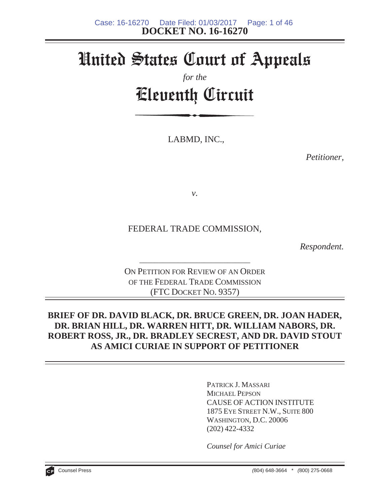# United States Court of Appeals

# *for the* Eleventh Circuit

LABMD, INC.,

*Petitioner,*

*v.*

FEDERAL TRADE COMMISSION,

*Respondent.*

ON PETITION FOR REVIEW OF AN ORDER OF THE FEDERAL TRADE COMMISSION (FTC DOCKET NO. 9357)

\_\_\_\_\_\_\_\_\_\_\_\_\_\_\_\_\_\_\_\_\_\_\_\_\_\_\_\_\_

# **BRIEF OF DR. DAVID BLACK, DR. BRUCE GREEN, DR. JOAN HADER, DR. BRIAN HILL, DR. WARREN HITT, DR. WILLIAM NABORS, DR. ROBERT ROSS, JR., DR. BRADLEY SECREST, AND DR. DAVID STOUT AS AMICI CURIAE IN SUPPORT OF PETITIONER**

PATRICK J. MASSARI MICHAEL PEPSON CAUSE OF ACTION INSTITUTE 1875 EYE STREET N.W., SUITE 800 WASHINGTON, D.C. 20006 (202) 422-4332

*Counsel for Amici Curiae*

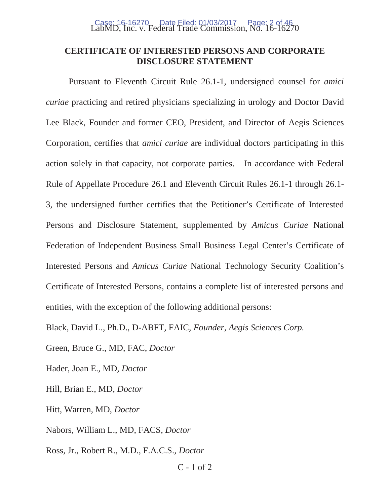# LabMD, Inc. v. Federal Trade Commission, No. 16-16270 Case: 16-16270 Date Filed: 01/03/2017 Page: 2 of 46

#### **CERTIFICATE OF INTERESTED PERSONS AND CORPORATE DISCLOSURE STATEMENT**

Pursuant to Eleventh Circuit Rule 26.1-1, undersigned counsel for *amici curiae* practicing and retired physicians specializing in urology and Doctor David Lee Black, Founder and former CEO, President, and Director of Aegis Sciences Corporation, certifies that *amici curiae* are individual doctors participating in this action solely in that capacity, not corporate parties. In accordance with Federal Rule of Appellate Procedure 26.1 and Eleventh Circuit Rules 26.1-1 through 26.1- 3, the undersigned further certifies that the Petitioner's Certificate of Interested Persons and Disclosure Statement, supplemented by *Amicus Curiae* National Federation of Independent Business Small Business Legal Center's Certificate of Interested Persons and *Amicus Curiae* National Technology Security Coalition's Certificate of Interested Persons, contains a complete list of interested persons and entities, with the exception of the following additional persons:

Black, David L., Ph.D., D-ABFT, FAIC, *Founder*, *Aegis Sciences Corp.*

Green, Bruce G., MD, FAC, *Doctor*

Hader, Joan E., MD, *Doctor*

Hill, Brian E., MD, *Doctor*

Hitt, Warren, MD, *Doctor*

Nabors, William L., MD, FACS, *Doctor*

Ross, Jr., Robert R., M.D., F.A.C.S., *Doctor*

C - 1 of 2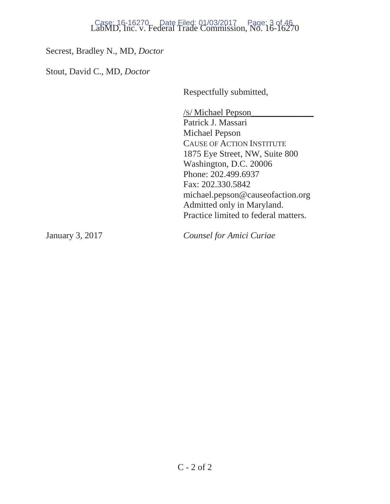# LabMD, Inc. v. Federal Trade Commission, No. 16-16270 Case: 16-16270 Date Filed: 01/03/2017 Page: 3 of 46

Secrest, Bradley N., MD, *Doctor*

Stout, David C., MD, *Doctor* 

Respectfully submitted,

/S/ Michael Pepson\_\_\_\_\_\_\_\_\_\_\_\_\_\_ Patrick J. Massari Michael Pepson CAUSE OF ACTION INSTITUTE 1875 Eye Street, NW, Suite 800 Washington, D.C. 20006 Phone: 202.499.6937 Fax: 202.330.5842 michael.pepson@causeofaction.org Admitted only in Maryland. Practice limited to federal matters.

January 3, 2017 *Counsel for Amici Curiae*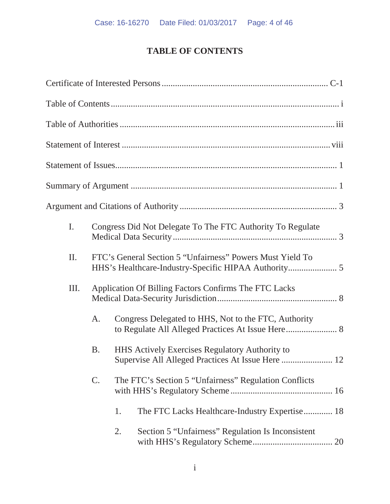# **TABLE OF CONTENTS**

| I.  |           | Congress Did Not Delegate To The FTC Authority To Regulate                                                 |  |  |  |
|-----|-----------|------------------------------------------------------------------------------------------------------------|--|--|--|
| II. |           | FTC's General Section 5 "Unfairness" Powers Must Yield To                                                  |  |  |  |
| Ш.  |           | Application Of Billing Factors Confirms The FTC Lacks                                                      |  |  |  |
|     | A.        | Congress Delegated to HHS, Not to the FTC, Authority<br>to Regulate All Alleged Practices At Issue Here 8  |  |  |  |
|     | <b>B.</b> | <b>HHS Actively Exercises Regulatory Authority to</b><br>Supervise All Alleged Practices At Issue Here  12 |  |  |  |
|     | C.        | The FTC's Section 5 "Unfairness" Regulation Conflicts                                                      |  |  |  |
|     |           | The FTC Lacks Healthcare-Industry Expertise 18<br>1.                                                       |  |  |  |
|     |           | Section 5 "Unfairness" Regulation Is Inconsistent<br>2.                                                    |  |  |  |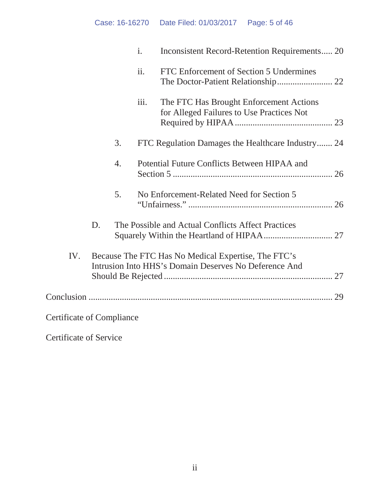# Case: 16-16270 Date Filed: 01/03/2017 Page: 5 of 46

|                                  |    |    | $\mathbf{i}$ . | Inconsistent Record-Retention Requirements 20                                                                |  |
|----------------------------------|----|----|----------------|--------------------------------------------------------------------------------------------------------------|--|
|                                  |    |    | ii.            | FTC Enforcement of Section 5 Undermines                                                                      |  |
|                                  |    |    | iii.           | The FTC Has Brought Enforcement Actions<br>for Alleged Failures to Use Practices Not                         |  |
|                                  |    | 3. |                | FTC Regulation Damages the Healthcare Industry 24                                                            |  |
|                                  |    | 4. |                | Potential Future Conflicts Between HIPAA and                                                                 |  |
|                                  |    | 5. |                | No Enforcement-Related Need for Section 5                                                                    |  |
|                                  | D. |    |                | The Possible and Actual Conflicts Affect Practices                                                           |  |
| IV.                              |    |    |                | Because The FTC Has No Medical Expertise, The FTC's<br>Intrusion Into HHS's Domain Deserves No Deference And |  |
|                                  |    |    |                |                                                                                                              |  |
| <b>Certificate of Compliance</b> |    |    |                |                                                                                                              |  |

Certificate of Service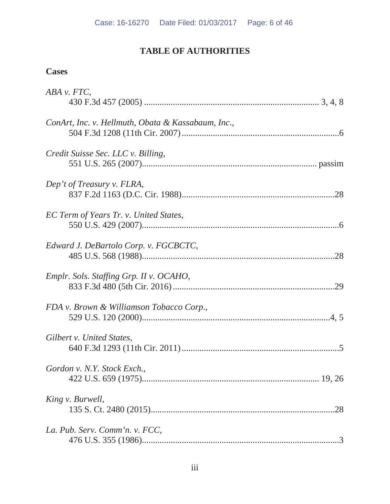# **TABLE OF AUTHORITIES**

# **Cases**

| ABA v. FTC,                                        |  |
|----------------------------------------------------|--|
|                                                    |  |
| ConArt, Inc. v. Hellmuth, Obata & Kassabaum, Inc., |  |
|                                                    |  |
| Credit Suisse Sec. LLC v. Billing,                 |  |
|                                                    |  |
|                                                    |  |
| Dep't of Treasury v. FLRA,                         |  |
|                                                    |  |
| EC Term of Years Tr. v. United States,             |  |
|                                                    |  |
| Edward J. DeBartolo Corp. v. FGCBCTC,              |  |
|                                                    |  |
|                                                    |  |
| Emplr. Sols. Staffing Grp. II v. OCAHO,            |  |
|                                                    |  |
| FDA v. Brown & Williamson Tobacco Corp.,           |  |
|                                                    |  |
| Gilbert v. United States,                          |  |
|                                                    |  |
|                                                    |  |
| Gordon v. N.Y. Stock Exch.,                        |  |
|                                                    |  |
| King v. Burwell,                                   |  |
|                                                    |  |
| La. Pub. Serv. Comm'n. v. FCC,                     |  |
|                                                    |  |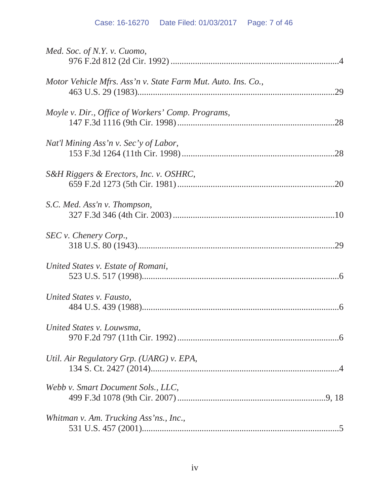| Med. Soc. of N.Y. v. Cuomo,                                  |
|--------------------------------------------------------------|
| Motor Vehicle Mfrs. Ass'n v. State Farm Mut. Auto. Ins. Co., |
| Moyle v. Dir., Office of Workers' Comp. Programs,<br>.28     |
| Nat'l Mining Ass'n v. Sec'y of Labor,                        |
| S&H Riggers & Erectors, Inc. v. OSHRC,                       |
| S.C. Med. Ass'n v. Thompson,                                 |
| SEC v. Chenery Corp.,                                        |
| United States v. Estate of Romani,                           |
| United States v. Fausto,                                     |
| United States v. Louwsma,                                    |
| Util. Air Regulatory Grp. (UARG) v. EPA,                     |
| Webb v. Smart Document Sols., LLC,                           |
| Whitman v. Am. Trucking Ass'ns., Inc.,                       |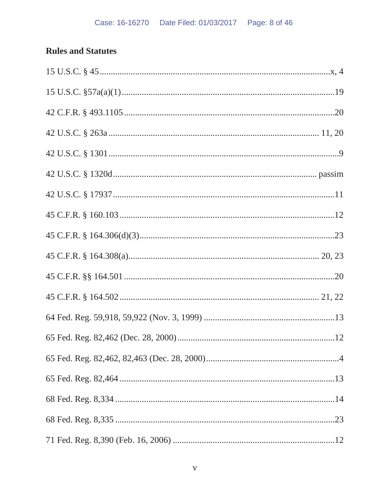# **Rules and Statutes**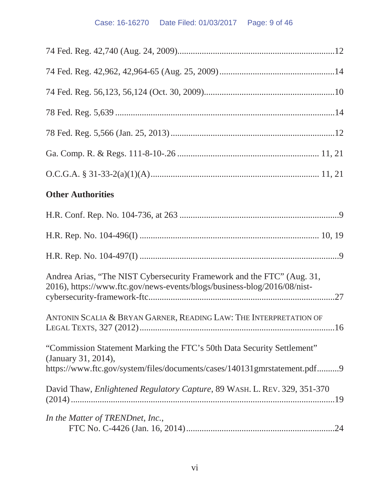# Case: 16-16270 Date Filed: 01/03/2017 Page: 9 of 46

| <b>Other Authorities</b>                                                                                                                           |
|----------------------------------------------------------------------------------------------------------------------------------------------------|
|                                                                                                                                                    |
|                                                                                                                                                    |
|                                                                                                                                                    |
| Andrea Arias, "The NIST Cybersecurity Framework and the FTC" (Aug. 31,<br>2016), https://www.ftc.gov/news-events/blogs/business-blog/2016/08/nist- |
| ANTONIN SCALIA & BRYAN GARNER, READING LAW: THE INTERPRETATION OF                                                                                  |
| "Commission Statement Marking the FTC's 50th Data Security Settlement"<br>(January 31, 2014),                                                      |
| https://www.ftc.gov/system/files/documents/cases/140131gmrstatement.pdf9                                                                           |
| David Thaw, <i>Enlightened Regulatory Capture</i> , 89 WASH. L. REV. 329, 351-370                                                                  |
| In the Matter of TRENDnet, Inc.,                                                                                                                   |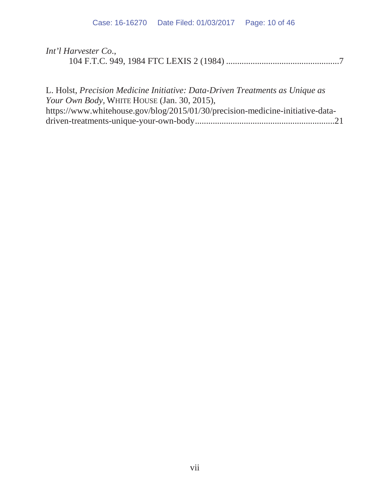| Int'l Harvester Co., |  |
|----------------------|--|
|                      |  |

L. Holst, *Precision Medicine Initiative: Data-Driven Treatments as Unique as Your Own Body,* WHITE HOUSE (Jan. 30, 2015), https://www.whitehouse.gov/blog/2015/01/30/precision-medicine-initiative-datadriven-treatments-unique-your-own-body...............................................................21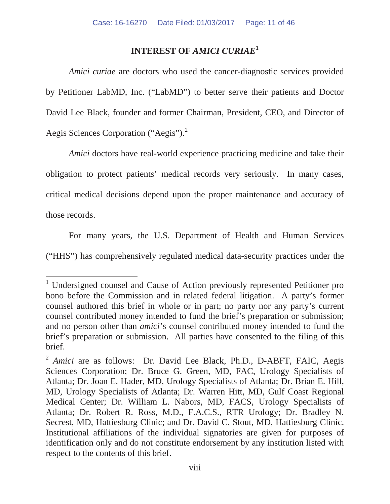#### **INTEREST OF** *AMICI CURIAE***<sup>1</sup>**

*Amici curiae* are doctors who used the cancer-diagnostic services provided by Petitioner LabMD, Inc. ("LabMD") to better serve their patients and Doctor David Lee Black, founder and former Chairman, President, CEO, and Director of Aegis Sciences Corporation ("Aegis").<sup>2</sup>

*Amici* doctors have real-world experience practicing medicine and take their obligation to protect patients' medical records very seriously. In many cases, critical medical decisions depend upon the proper maintenance and accuracy of those records.

For many years, the U.S. Department of Health and Human Services ("HHS") has comprehensively regulated medical data-security practices under the

<sup>&</sup>lt;sup>1</sup> Undersigned counsel and Cause of Action previously represented Petitioner pro bono before the Commission and in related federal litigation. A party's former counsel authored this brief in whole or in part; no party nor any party's current counsel contributed money intended to fund the brief's preparation or submission; and no person other than *amici*'s counsel contributed money intended to fund the brief's preparation or submission. All parties have consented to the filing of this brief.

<sup>&</sup>lt;sup>2</sup> *Amici* are as follows: Dr. David Lee Black, Ph.D., D-ABFT, FAIC, Aegis Sciences Corporation; Dr. Bruce G. Green, MD, FAC, Urology Specialists of Atlanta; Dr. Joan E. Hader, MD, Urology Specialists of Atlanta; Dr. Brian E. Hill, MD, Urology Specialists of Atlanta; Dr. Warren Hitt, MD, Gulf Coast Regional Medical Center; Dr. William L. Nabors, MD, FACS, Urology Specialists of Atlanta; Dr. Robert R. Ross, M.D., F.A.C.S., RTR Urology; Dr. Bradley N. Secrest, MD, Hattiesburg Clinic; and Dr. David C. Stout, MD, Hattiesburg Clinic. Institutional affiliations of the individual signatories are given for purposes of identification only and do not constitute endorsement by any institution listed with respect to the contents of this brief.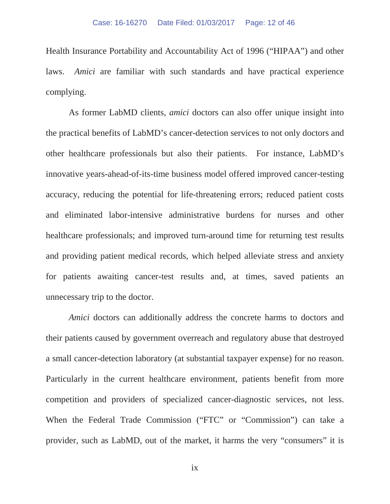Health Insurance Portability and Accountability Act of 1996 ("HIPAA") and other laws. *Amici* are familiar with such standards and have practical experience complying.

As former LabMD clients, *amici* doctors can also offer unique insight into the practical benefits of LabMD's cancer-detection services to not only doctors and other healthcare professionals but also their patients. For instance, LabMD's innovative years-ahead-of-its-time business model offered improved cancer-testing accuracy, reducing the potential for life-threatening errors; reduced patient costs and eliminated labor-intensive administrative burdens for nurses and other healthcare professionals; and improved turn-around time for returning test results and providing patient medical records, which helped alleviate stress and anxiety for patients awaiting cancer-test results and, at times, saved patients an unnecessary trip to the doctor.

*Amici* doctors can additionally address the concrete harms to doctors and their patients caused by government overreach and regulatory abuse that destroyed a small cancer-detection laboratory (at substantial taxpayer expense) for no reason. Particularly in the current healthcare environment, patients benefit from more competition and providers of specialized cancer-diagnostic services, not less. When the Federal Trade Commission ("FTC" or "Commission") can take a provider, such as LabMD, out of the market, it harms the very "consumers" it is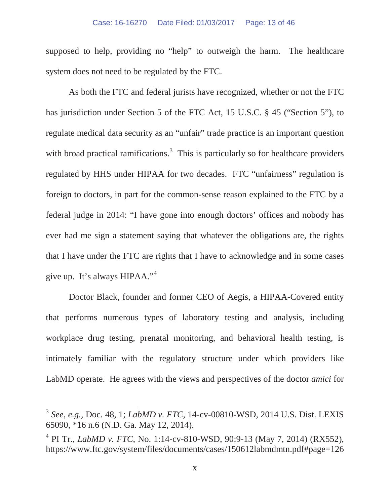supposed to help, providing no "help" to outweigh the harm. The healthcare system does not need to be regulated by the FTC.

As both the FTC and federal jurists have recognized, whether or not the FTC has jurisdiction under Section 5 of the FTC Act, 15 U.S.C. § 45 ("Section 5"), to regulate medical data security as an "unfair" trade practice is an important question with broad practical ramifications.<sup>3</sup> This is particularly so for healthcare providers regulated by HHS under HIPAA for two decades. FTC "unfairness" regulation is foreign to doctors, in part for the common-sense reason explained to the FTC by a federal judge in 2014: "I have gone into enough doctors' offices and nobody has ever had me sign a statement saying that whatever the obligations are, the rights that I have under the FTC are rights that I have to acknowledge and in some cases give up. It's always HIPAA."<sup>4</sup>

Doctor Black, founder and former CEO of Aegis, a HIPAA-Covered entity that performs numerous types of laboratory testing and analysis, including workplace drug testing, prenatal monitoring, and behavioral health testing, is intimately familiar with the regulatory structure under which providers like LabMD operate. He agrees with the views and perspectives of the doctor *amici* for

<sup>3</sup> *See, e.g.,* Doc. 48, 1; *LabMD v. FTC*, 14-cv-00810-WSD, 2014 U.S. Dist. LEXIS 65090, \*16 n.6 (N.D. Ga. May 12, 2014).

<sup>4</sup> PI Tr., *LabMD v. FTC*, No. 1:14-cv-810-WSD, 90:9-13 (May 7, 2014) (RX552), https://www.ftc.gov/system/files/documents/cases/150612labmdmtn.pdf#page=126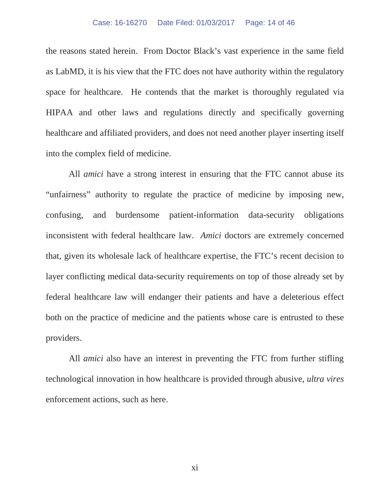#### Case: 16-16270 Date Filed: 01/03/2017 Page: 14 of 46

the reasons stated herein. From Doctor Black's vast experience in the same field as LabMD, it is his view that the FTC does not have authority within the regulatory space for healthcare. He contends that the market is thoroughly regulated via HIPAA and other laws and regulations directly and specifically governing healthcare and affiliated providers, and does not need another player inserting itself into the complex field of medicine.

All *amici* have a strong interest in ensuring that the FTC cannot abuse its "unfairness" authority to regulate the practice of medicine by imposing new, confusing, and burdensome patient-information data-security obligations inconsistent with federal healthcare law. *Amici* doctors are extremely concerned that, given its wholesale lack of healthcare expertise, the FTC's recent decision to layer conflicting medical data-security requirements on top of those already set by federal healthcare law will endanger their patients and have a deleterious effect both on the practice of medicine and the patients whose care is entrusted to these providers.

All *amici* also have an interest in preventing the FTC from further stifling technological innovation in how healthcare is provided through abusive, *ultra vires* enforcement actions, such as here.

xi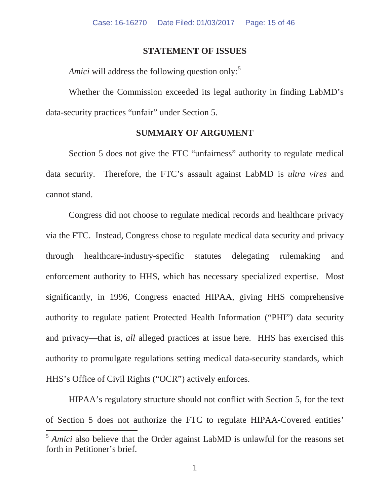#### **STATEMENT OF ISSUES**

*Amici* will address the following question only:<sup>5</sup>

Whether the Commission exceeded its legal authority in finding LabMD's data-security practices "unfair" under Section 5.

#### **SUMMARY OF ARGUMENT**

Section 5 does not give the FTC "unfairness" authority to regulate medical data security. Therefore, the FTC's assault against LabMD is *ultra vires* and cannot stand.

Congress did not choose to regulate medical records and healthcare privacy via the FTC. Instead, Congress chose to regulate medical data security and privacy through healthcare-industry-specific statutes delegating rulemaking and enforcement authority to HHS, which has necessary specialized expertise. Most significantly, in 1996, Congress enacted HIPAA, giving HHS comprehensive authority to regulate patient Protected Health Information ("PHI") data security and privacy—that is, *all* alleged practices at issue here. HHS has exercised this authority to promulgate regulations setting medical data-security standards, which HHS's Office of Civil Rights ("OCR") actively enforces.

HIPAA's regulatory structure should not conflict with Section 5, for the text of Section 5 does not authorize the FTC to regulate HIPAA-Covered entities'

<sup>&</sup>lt;sup>5</sup> *Amici* also believe that the Order against LabMD is unlawful for the reasons set forth in Petitioner's brief.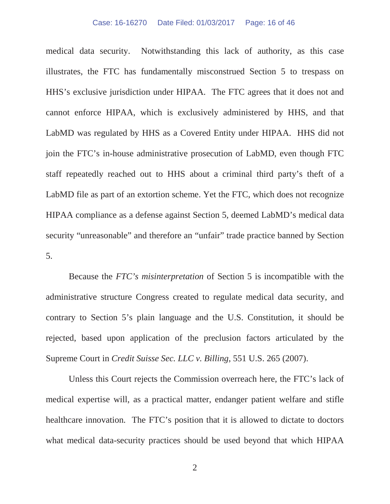#### Case: 16-16270 Date Filed: 01/03/2017 Page: 16 of 46

medical data security. Notwithstanding this lack of authority, as this case illustrates, the FTC has fundamentally misconstrued Section 5 to trespass on HHS's exclusive jurisdiction under HIPAA. The FTC agrees that it does not and cannot enforce HIPAA, which is exclusively administered by HHS, and that LabMD was regulated by HHS as a Covered Entity under HIPAA. HHS did not join the FTC's in-house administrative prosecution of LabMD, even though FTC staff repeatedly reached out to HHS about a criminal third party's theft of a LabMD file as part of an extortion scheme. Yet the FTC, which does not recognize HIPAA compliance as a defense against Section 5, deemed LabMD's medical data security "unreasonable" and therefore an "unfair" trade practice banned by Section 5.

Because the *FTC's misinterpretation* of Section 5 is incompatible with the administrative structure Congress created to regulate medical data security, and contrary to Section 5's plain language and the U.S. Constitution, it should be rejected, based upon application of the preclusion factors articulated by the Supreme Court in *Credit Suisse Sec. LLC v. Billing*, 551 U.S. 265 (2007).

Unless this Court rejects the Commission overreach here, the FTC's lack of medical expertise will, as a practical matter, endanger patient welfare and stifle healthcare innovation. The FTC's position that it is allowed to dictate to doctors what medical data-security practices should be used beyond that which HIPAA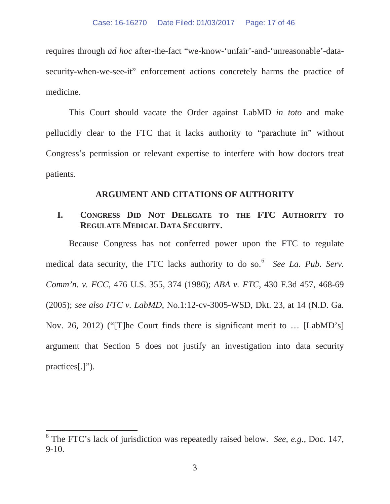requires through *ad hoc* after-the-fact "we-know-'unfair'-and-'unreasonable'-datasecurity-when-we-see-it" enforcement actions concretely harms the practice of medicine.

This Court should vacate the Order against LabMD *in toto* and make pellucidly clear to the FTC that it lacks authority to "parachute in" without Congress's permission or relevant expertise to interfere with how doctors treat patients.

#### **ARGUMENT AND CITATIONS OF AUTHORITY**

### **I. CONGRESS DID NOT DELEGATE TO THE FTC AUTHORITY TO REGULATE MEDICAL DATA SECURITY.**

Because Congress has not conferred power upon the FTC to regulate medical data security, the FTC lacks authority to do so.<sup>6</sup> *See La. Pub. Serv. Comm'n. v. FCC*, 476 U.S. 355, 374 (1986); *ABA v. FTC*, 430 F.3d 457, 468-69 (2005); *see also FTC v. LabMD*, No.1:12-cv-3005-WSD, Dkt. 23, at 14 (N.D. Ga. Nov. 26, 2012) ("[T]he Court finds there is significant merit to … [LabMD's] argument that Section 5 does not justify an investigation into data security practices[.]").

<sup>6</sup> The FTC's lack of jurisdiction was repeatedly raised below. *See, e.g.,* Doc. 147, 9-10.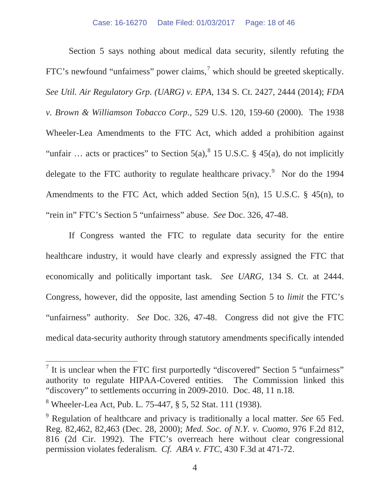Section 5 says nothing about medical data security, silently refuting the FTC's newfound "unfairness" power claims,<sup>7</sup> which should be greeted skeptically. *See Util. Air Regulatory Grp. (UARG) v. EPA*, 134 S. Ct. 2427, 2444 (2014); *FDA v. Brown & Williamson Tobacco Corp*., 529 U.S. 120, 159-60 (2000). The 1938 Wheeler-Lea Amendments to the FTC Act, which added a prohibition against "unfair ... acts or practices" to Section  $5(a)$ ,  $8 \times 15$  U.S.C.  $8 \times 45(a)$ , do not implicitly delegate to the FTC authority to regulate healthcare privacy.<sup>9</sup> Nor do the 1994 Amendments to the FTC Act, which added Section 5(n), 15 U.S.C.  $\S$  45(n), to "rein in" FTC's Section 5 "unfairness" abuse. *See* Doc. 326, 47-48.

If Congress wanted the FTC to regulate data security for the entire healthcare industry, it would have clearly and expressly assigned the FTC that economically and politically important task. *See UARG*, 134 S. Ct. at 2444. Congress, however, did the opposite, last amending Section 5 to *limit* the FTC's "unfairness" authority. *See* Doc. 326, 47-48. Congress did not give the FTC medical data-security authority through statutory amendments specifically intended

 $<sup>7</sup>$  It is unclear when the FTC first purportedly "discovered" Section 5 "unfairness"</sup> authority to regulate HIPAA-Covered entities. The Commission linked this "discovery" to settlements occurring in 2009-2010. Doc. 48, 11 n.18.

<sup>8</sup> Wheeler-Lea Act, Pub. L. 75-447, § 5, 52 Stat. 111 (1938).

<sup>9</sup> Regulation of healthcare and privacy is traditionally a local matter. *See* 65 Fed. Reg. 82,462, 82,463 (Dec. 28, 2000); *Med. Soc. of N.Y. v. Cuomo*, 976 F.2d 812, 816 (2d Cir. 1992). The FTC's overreach here without clear congressional permission violates federalism. *Cf. ABA v. FTC*, 430 F.3d at 471-72.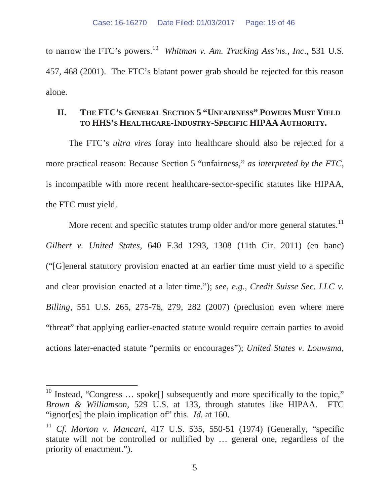to narrow the FTC's powers.<sup>10</sup> *Whitman v. Am. Trucking Ass'ns., Inc.*, 531 U.S. 457, 468 (2001). The FTC's blatant power grab should be rejected for this reason alone.

## **II. THE FTC'S GENERAL SECTION 5 "UNFAIRNESS" POWERS MUST YIELD TO HHS'S HEALTHCARE-INDUSTRY-SPECIFIC HIPAA AUTHORITY.**

The FTC's *ultra vires* foray into healthcare should also be rejected for a more practical reason: Because Section 5 "unfairness," *as interpreted by the FTC*, is incompatible with more recent healthcare-sector-specific statutes like HIPAA, the FTC must yield.

More recent and specific statutes trump older and/or more general statutes.<sup>11</sup> *Gilbert v. United States*, 640 F.3d 1293, 1308 (11th Cir. 2011) (en banc) ("[G]eneral statutory provision enacted at an earlier time must yield to a specific and clear provision enacted at a later time."); *see, e.g., Credit Suisse Sec. LLC v. Billing*, 551 U.S. 265, 275-76, 279, 282 (2007) (preclusion even where mere "threat" that applying earlier-enacted statute would require certain parties to avoid actions later-enacted statute "permits or encourages"); *United States v. Louwsma*,

<sup>&</sup>lt;sup>10</sup> Instead, "Congress  $\dots$  spoke<sup>[]</sup> subsequently and more specifically to the topic," *Brown & Williamson*, 529 U.S. at 133, through statutes like HIPAA. FTC "ignor[es] the plain implication of" this. *Id.* at 160.

<sup>11</sup> *Cf. Morton v. Mancari*, 417 U.S. 535, 550-51 (1974) (Generally, "specific statute will not be controlled or nullified by … general one, regardless of the priority of enactment.").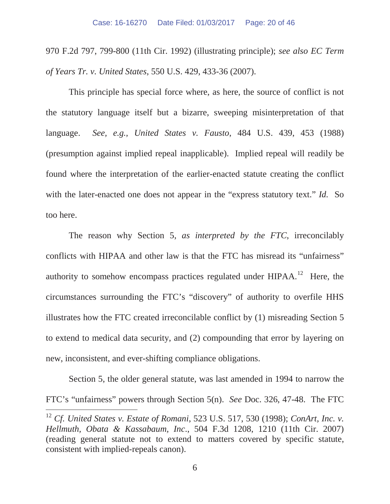970 F.2d 797, 799-800 (11th Cir. 1992) (illustrating principle); *see also EC Term of Years Tr. v. United States*, 550 U.S. 429, 433-36 (2007).

This principle has special force where, as here, the source of conflict is not the statutory language itself but a bizarre, sweeping misinterpretation of that language. *See, e.g., United States v. Fausto*, 484 U.S. 439, 453 (1988) (presumption against implied repeal inapplicable). Implied repeal will readily be found where the interpretation of the earlier-enacted statute creating the conflict with the later-enacted one does not appear in the "express statutory text." *Id.* So too here.

The reason why Section 5, *as interpreted by the FTC*, irreconcilably conflicts with HIPAA and other law is that the FTC has misread its "unfairness" authority to somehow encompass practices regulated under  $HIPAA$ .<sup>12</sup> Here, the circumstances surrounding the FTC's "discovery" of authority to overfile HHS illustrates how the FTC created irreconcilable conflict by (1) misreading Section 5 to extend to medical data security, and (2) compounding that error by layering on new, inconsistent, and ever-shifting compliance obligations.

Section 5, the older general statute, was last amended in 1994 to narrow the FTC's "unfairness" powers through Section 5(n). *See* Doc. 326, 47-48. The FTC

<sup>12</sup> *Cf. United States v. Estate of Romani*, 523 U.S. 517, 530 (1998); *ConArt, Inc. v. Hellmuth, Obata & Kassabaum, Inc*., 504 F.3d 1208, 1210 (11th Cir. 2007) (reading general statute not to extend to matters covered by specific statute, consistent with implied-repeals canon).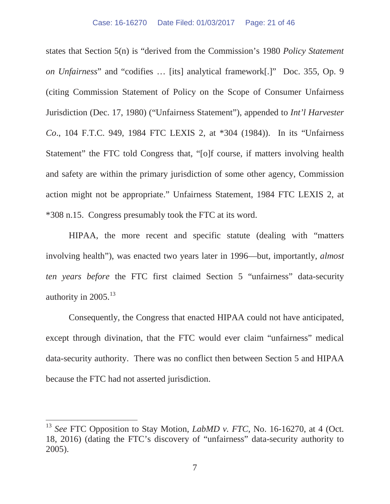states that Section 5(n) is "derived from the Commission's 1980 *Policy Statement on Unfairness*" and "codifies … [its] analytical framework[.]" Doc. 355, Op. 9 (citing Commission Statement of Policy on the Scope of Consumer Unfairness Jurisdiction (Dec. 17, 1980) ("Unfairness Statement"), appended to *Int'l Harvester Co*., 104 F.T.C. 949, 1984 FTC LEXIS 2, at \*304 (1984)). In its "Unfairness Statement" the FTC told Congress that, "[o]f course, if matters involving health and safety are within the primary jurisdiction of some other agency, Commission action might not be appropriate." Unfairness Statement, 1984 FTC LEXIS 2, at \*308 n.15. Congress presumably took the FTC at its word.

HIPAA, the more recent and specific statute (dealing with "matters involving health"), was enacted two years later in 1996—but, importantly, *almost ten years before* the FTC first claimed Section 5 "unfairness" data-security authority in  $2005$ .<sup>13</sup>

Consequently, the Congress that enacted HIPAA could not have anticipated, except through divination, that the FTC would ever claim "unfairness" medical data-security authority. There was no conflict then between Section 5 and HIPAA because the FTC had not asserted jurisdiction.

<sup>13</sup> *See* FTC Opposition to Stay Motion, *LabMD v. FTC*, No. 16-16270, at 4 (Oct. 18, 2016) (dating the FTC's discovery of "unfairness" data-security authority to 2005).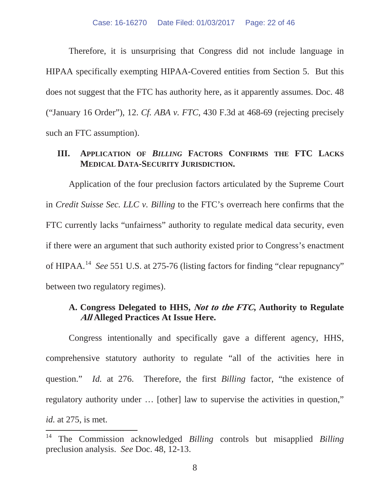Therefore, it is unsurprising that Congress did not include language in HIPAA specifically exempting HIPAA-Covered entities from Section 5. But this does not suggest that the FTC has authority here, as it apparently assumes. Doc. 48 ("January 16 Order"), 12. *Cf. ABA v. FTC*, 430 F.3d at 468-69 (rejecting precisely such an FTC assumption).

### **III. APPLICATION OF** *BILLING* **FACTORS CONFIRMS THE FTC LACKS MEDICAL DATA-SECURITY JURISDICTION.**

Application of the four preclusion factors articulated by the Supreme Court in *Credit Suisse Sec. LLC v. Billing* to the FTC's overreach here confirms that the FTC currently lacks "unfairness" authority to regulate medical data security, even if there were an argument that such authority existed prior to Congress's enactment of HIPAA.<sup>14</sup> See 551 U.S. at 275-76 (listing factors for finding "clear repugnancy" between two regulatory regimes).

## **A. Congress Delegated to HHS, Not to the FTC, Authority to Regulate All Alleged Practices At Issue Here.**

Congress intentionally and specifically gave a different agency, HHS, comprehensive statutory authority to regulate "all of the activities here in question." *Id.* at 276. Therefore, the first *Billing* factor, "the existence of regulatory authority under … [other] law to supervise the activities in question," *id.* at 275, is met.

<sup>14</sup> The Commission acknowledged *Billing* controls but misapplied *Billing* preclusion analysis. *See* Doc. 48, 12-13.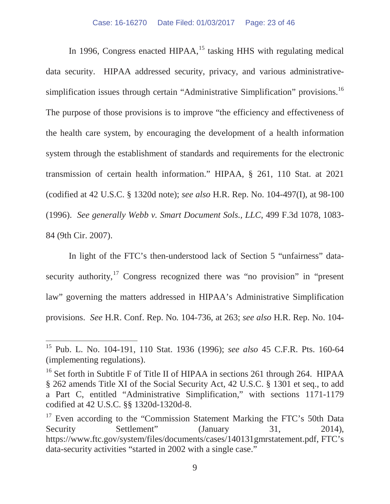In 1996, Congress enacted HIPAA,  $15$  tasking HHS with regulating medical data security. HIPAA addressed security, privacy, and various administrativesimplification issues through certain "Administrative Simplification" provisions.<sup>16</sup> The purpose of those provisions is to improve "the efficiency and effectiveness of the health care system, by encouraging the development of a health information system through the establishment of standards and requirements for the electronic transmission of certain health information." HIPAA, § 261, 110 Stat. at 2021 (codified at 42 U.S.C. § 1320d note); *see also* H.R. Rep. No. 104-497(I), at 98-100 (1996). *See generally Webb v. Smart Document Sols., LLC*, 499 F.3d 1078, 1083- 84 (9th Cir. 2007).

In light of the FTC's then-understood lack of Section 5 "unfairness" datasecurity authority, $17$  Congress recognized there was "no provision" in "present law" governing the matters addressed in HIPAA's Administrative Simplification provisions. *See* H.R. Conf. Rep. No*.* 104-736, at 263; *see also* H.R. Rep. No. 104-

<sup>15</sup> Pub. L. No. 104-191, 110 Stat. 1936 (1996); *see also* 45 C.F.R. Pts. 160-64 (implementing regulations).

<sup>&</sup>lt;sup>16</sup> Set forth in Subtitle F of Title II of HIPAA in sections 261 through 264. HIPAA § 262 amends Title XI of the Social Security Act, 42 U.S.C. § 1301 et seq., to add a Part C, entitled "Administrative Simplification," with sections 1171-1179 codified at 42 U.S.C. §§ 1320d-1320d-8.

<sup>&</sup>lt;sup>17</sup> Even according to the "Commission Statement Marking the FTC's 50th Data Security Settlement" (January 31, 2014), https://www.ftc.gov/system/files/documents/cases/140131gmrstatement.pdf, FTC's data-security activities "started in 2002 with a single case."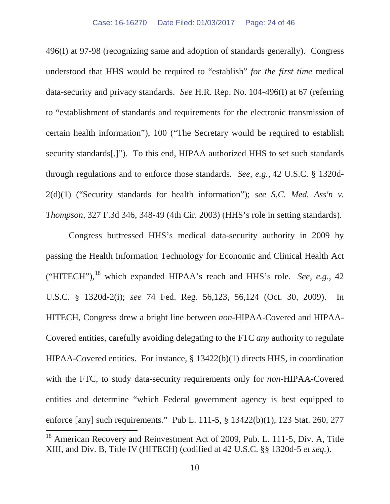496(I) at 97-98 (recognizing same and adoption of standards generally). Congress understood that HHS would be required to "establish" *for the first time* medical data-security and privacy standards. *See* H.R. Rep. No. 104-496(I) at 67 (referring to "establishment of standards and requirements for the electronic transmission of certain health information"), 100 ("The Secretary would be required to establish security standards[.]"). To this end, HIPAA authorized HHS to set such standards through regulations and to enforce those standards. *See, e.g.,* 42 U.S.C. § 1320d-2(d)(1) ("Security standards for health information"); *see S.C. Med. Ass'n v. Thompson,* 327 F.3d 346, 348-49 (4th Cir. 2003) (HHS's role in setting standards).

Congress buttressed HHS's medical data-security authority in 2009 by passing the Health Information Technology for Economic and Clinical Health Act ("HITECH"),<sup>18</sup> which expanded HIPAA's reach and HHS's role. *See, e.g.*, 42 U.S.C. § 1320d-2(i); *see* 74 Fed. Reg. 56,123, 56,124 (Oct. 30, 2009). In HITECH, Congress drew a bright line between *non*-HIPAA-Covered and HIPAA-Covered entities, carefully avoiding delegating to the FTC *any* authority to regulate HIPAA-Covered entities. For instance, § 13422(b)(1) directs HHS, in coordination with the FTC, to study data-security requirements only for *non*-HIPAA-Covered entities and determine "which Federal government agency is best equipped to enforce [any] such requirements." Pub L. 111-5, § 13422(b)(1), 123 Stat. 260, 277  $\overline{a}$ <sup>18</sup> American Recovery and Reinvestment Act of 2009, Pub. L. 111-5, Div. A, Title

XIII, and Div. B, Title IV (HITECH) (codified at 42 U.S.C. §§ 1320d-5 *et seq.*).

<sup>10</sup>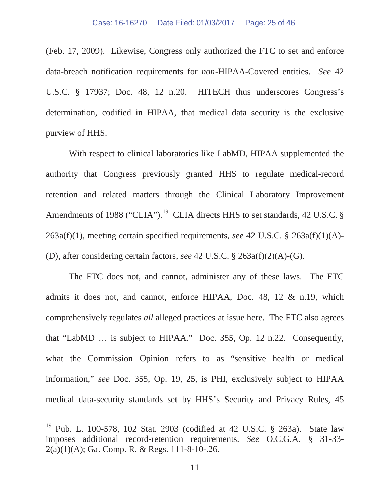(Feb. 17, 2009). Likewise, Congress only authorized the FTC to set and enforce data-breach notification requirements for *non-*HIPAA-Covered entities. *See* 42 U.S.C. § 17937; Doc. 48, 12 n.20. HITECH thus underscores Congress's determination, codified in HIPAA, that medical data security is the exclusive purview of HHS.

With respect to clinical laboratories like LabMD, HIPAA supplemented the authority that Congress previously granted HHS to regulate medical-record retention and related matters through the Clinical Laboratory Improvement Amendments of 1988 ("CLIA").<sup>19</sup> CLIA directs HHS to set standards, 42 U.S.C. § 263a(f)(1), meeting certain specified requirements, *see* 42 U.S.C. § 263a(f)(1)(A)- (D), after considering certain factors, *see* 42 U.S.C. § 263a(f)(2)(A)-(G).

The FTC does not, and cannot, administer any of these laws. The FTC admits it does not, and cannot, enforce HIPAA, Doc. 48, 12 & n.19, which comprehensively regulates *all* alleged practices at issue here. The FTC also agrees that "LabMD … is subject to HIPAA." Doc. 355, Op. 12 n.22. Consequently, what the Commission Opinion refers to as "sensitive health or medical information," *see* Doc. 355, Op. 19, 25, is PHI, exclusively subject to HIPAA medical data-security standards set by HHS's Security and Privacy Rules, 45

<sup>&</sup>lt;sup>19</sup> Pub. L. 100-578, 102 Stat. 2903 (codified at 42 U.S.C. § 263a). State law imposes additional record-retention requirements. *See* O.C.G.A. § 31-33- 2(a)(1)(A); Ga. Comp. R. & Regs. 111-8-10-.26.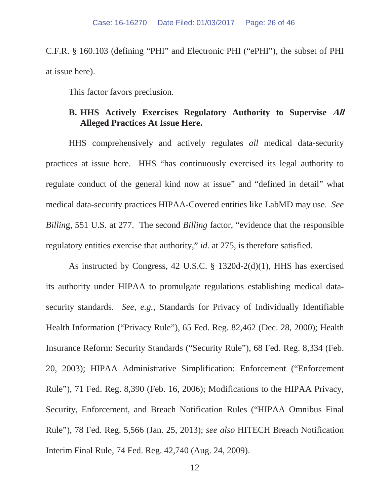C.F.R. § 160.103 (defining "PHI" and Electronic PHI ("ePHI"), the subset of PHI at issue here).

This factor favors preclusion.

## **B. HHS Actively Exercises Regulatory Authority to Supervise All Alleged Practices At Issue Here.**

HHS comprehensively and actively regulates *all* medical data-security practices at issue here. HHS "has continuously exercised its legal authority to regulate conduct of the general kind now at issue" and "defined in detail" what medical data-security practices HIPAA-Covered entities like LabMD may use. *See Billin*g, 551 U.S. at 277. The second *Billing* factor, "evidence that the responsible regulatory entities exercise that authority," *id.* at 275, is therefore satisfied.

As instructed by Congress, 42 U.S.C. § 1320d-2(d)(1), HHS has exercised its authority under HIPAA to promulgate regulations establishing medical datasecurity standards. *See, e.g.,* Standards for Privacy of Individually Identifiable Health Information ("Privacy Rule"), 65 Fed. Reg. 82,462 (Dec. 28, 2000); Health Insurance Reform: Security Standards ("Security Rule"), 68 Fed. Reg. 8,334 (Feb. 20, 2003); HIPAA Administrative Simplification: Enforcement ("Enforcement Rule"), 71 Fed. Reg. 8,390 (Feb. 16, 2006); Modifications to the HIPAA Privacy, Security, Enforcement, and Breach Notification Rules ("HIPAA Omnibus Final Rule"), 78 Fed. Reg. 5,566 (Jan. 25, 2013); *see also* HITECH Breach Notification Interim Final Rule, 74 Fed. Reg. 42,740 (Aug. 24, 2009).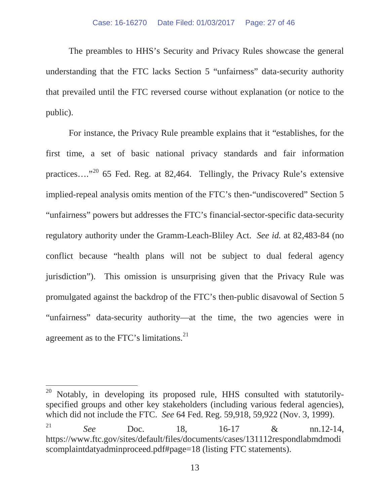The preambles to HHS's Security and Privacy Rules showcase the general understanding that the FTC lacks Section 5 "unfairness" data-security authority that prevailed until the FTC reversed course without explanation (or notice to the public).

For instance, the Privacy Rule preamble explains that it "establishes, for the first time, a set of basic national privacy standards and fair information practices…."<sup>20</sup> 65 Fed. Reg. at 82,464. Tellingly, the Privacy Rule's extensive implied-repeal analysis omits mention of the FTC's then-"undiscovered" Section 5 "unfairness" powers but addresses the FTC's financial-sector-specific data-security regulatory authority under the Gramm-Leach-Bliley Act. *See id.* at 82,483-84 (no conflict because "health plans will not be subject to dual federal agency jurisdiction"). This omission is unsurprising given that the Privacy Rule was promulgated against the backdrop of the FTC's then-public disavowal of Section 5 "unfairness" data-security authority—at the time, the two agencies were in agreement as to the FTC's limitations.<sup>21</sup>

 $20$  Notably, in developing its proposed rule, HHS consulted with statutorilyspecified groups and other key stakeholders (including various federal agencies), which did not include the FTC. *See* 64 Fed. Reg. 59,918, 59,922 (Nov. 3, 1999). <sup>21</sup> *See* Doc. 18, 16-17 & nn.12-14, https://www.ftc.gov/sites/default/files/documents/cases/131112respondlabmdmodi scomplaintdatyadminproceed.pdf#page=18 (listing FTC statements).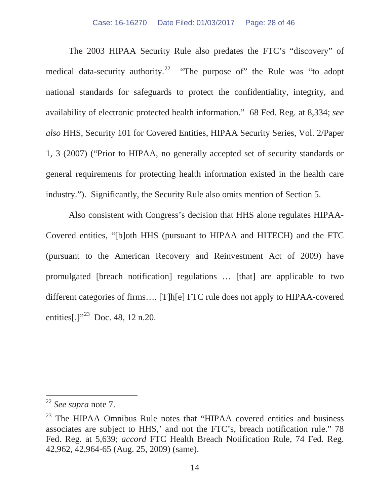The 2003 HIPAA Security Rule also predates the FTC's "discovery" of medical data-security authority.<sup>22</sup> "The purpose of" the Rule was "to adopt national standards for safeguards to protect the confidentiality, integrity, and availability of electronic protected health information." 68 Fed. Reg. at 8,334; *see also* HHS, Security 101 for Covered Entities, HIPAA Security Series, Vol. 2/Paper 1, 3 (2007) ("Prior to HIPAA, no generally accepted set of security standards or general requirements for protecting health information existed in the health care industry."). Significantly, the Security Rule also omits mention of Section 5.

Also consistent with Congress's decision that HHS alone regulates HIPAA-Covered entities, "[b]oth HHS (pursuant to HIPAA and HITECH) and the FTC (pursuant to the American Recovery and Reinvestment Act of 2009) have promulgated [breach notification] regulations … [that] are applicable to two different categories of firms…. [T]h[e] FTC rule does not apply to HIPAA-covered entities[.]"<sup>23</sup> Doc. 48, 12 n.20.

<sup>22</sup> *See supra* note 7.

<sup>&</sup>lt;sup>23</sup> The HIPAA Omnibus Rule notes that "HIPAA covered entities and business associates are subject to HHS,' and not the FTC's, breach notification rule." 78 Fed. Reg. at 5,639; *accord* FTC Health Breach Notification Rule, 74 Fed. Reg. 42,962, 42,964-65 (Aug. 25, 2009) (same).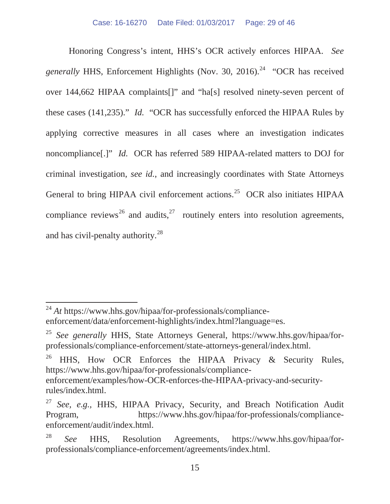Honoring Congress's intent, HHS's OCR actively enforces HIPAA. *See generally* HHS, Enforcement Highlights (Nov. 30, 2016).<sup>24</sup> "OCR has received over 144,662 HIPAA complaints[]" and "ha[s] resolved ninety-seven percent of these cases (141,235)." *Id.* "OCR has successfully enforced the HIPAA Rules by applying corrective measures in all cases where an investigation indicates noncompliance[.]" *Id.* OCR has referred 589 HIPAA-related matters to DOJ for criminal investigation, *see id.*, and increasingly coordinates with State Attorneys General to bring HIPAA civil enforcement actions.<sup>25</sup> OCR also initiates HIPAA compliance reviews<sup>26</sup> and audits, <sup>27</sup> routinely enters into resolution agreements, and has civil-penalty authority.<sup>28</sup>

 $\overline{a}$ 

HHS, How OCR Enforces the HIPAA Privacy & Security Rules, https://www.hhs.gov/hipaa/for-professionals/compliance-

<sup>24</sup> *At* https://www.hhs.gov/hipaa/for-professionals/complianceenforcement/data/enforcement-highlights/index.html?language=es.

<sup>25</sup> *See generally* HHS, State Attorneys General, https://www.hhs.gov/hipaa/forprofessionals/compliance-enforcement/state-attorneys-general/index.html.

enforcement/examples/how-OCR-enforces-the-HIPAA-privacy-and-securityrules/index.html.

<sup>27</sup> *See, e.g.,* HHS, HIPAA Privacy, Security, and Breach Notification Audit Program, https://www.hhs.gov/hipaa/for-professionals/complianceenforcement/audit/index.html.

<sup>28</sup> *See* HHS, Resolution Agreements, https://www.hhs.gov/hipaa/forprofessionals/compliance-enforcement/agreements/index.html.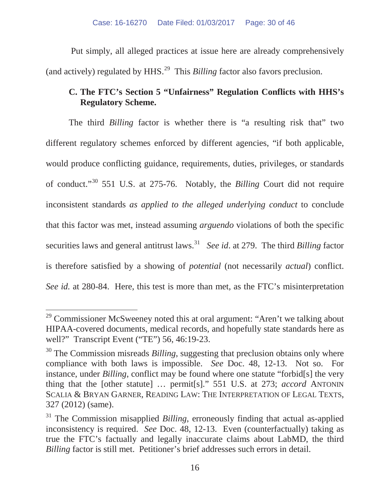Put simply, all alleged practices at issue here are already comprehensively (and actively) regulated by HHS.<sup>29</sup> This *Billing* factor also favors preclusion.

# **C. The FTC's Section 5 "Unfairness" Regulation Conflicts with HHS's Regulatory Scheme.**

The third *Billing* factor is whether there is "a resulting risk that" two different regulatory schemes enforced by different agencies, "if both applicable, would produce conflicting guidance, requirements, duties, privileges, or standards of conduct."<sup>30</sup> 551 U.S. at 275-76. Notably, the *Billing* Court did not require inconsistent standards *as applied to the alleged underlying conduct* to conclude that this factor was met, instead assuming *arguendo* violations of both the specific securities laws and general antitrust laws.<sup>31</sup> *See id.* at 279. The third *Billing* factor is therefore satisfied by a showing of *potential* (not necessarily *actual*) conflict. *See id.* at 280-84. Here, this test is more than met, as the FTC's misinterpretation

 $29$  Commissioner McSweeney noted this at oral argument: "Aren't we talking about HIPAA-covered documents, medical records, and hopefully state standards here as well?" Transcript Event ("TE") 56, 46:19-23.

<sup>&</sup>lt;sup>30</sup> The Commission misreads *Billing*, suggesting that preclusion obtains only where compliance with both laws is impossible. *See* Doc. 48, 12-13. Not so. For instance, under *Billing*, conflict may be found where one statute "forbid[s] the very thing that the [other statute] … permit[s]." 551 U.S. at 273; *accord* ANTONIN SCALIA & BRYAN GARNER, READING LAW: THE INTERPRETATION OF LEGAL TEXTS, 327 (2012) (same).

<sup>&</sup>lt;sup>31</sup> The Commission misapplied *Billing*, erroneously finding that actual as-applied inconsistency is required. *See* Doc. 48, 12-13. Even (counterfactually) taking as true the FTC's factually and legally inaccurate claims about LabMD, the third *Billing* factor is still met. Petitioner's brief addresses such errors in detail.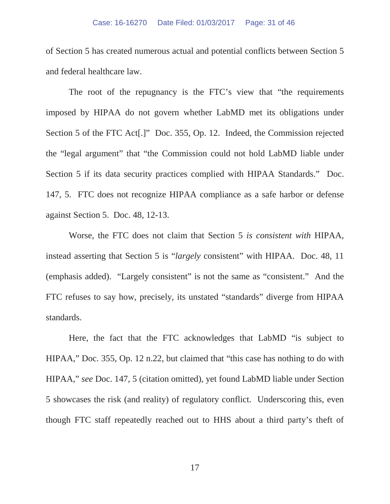of Section 5 has created numerous actual and potential conflicts between Section 5 and federal healthcare law.

The root of the repugnancy is the FTC's view that "the requirements imposed by HIPAA do not govern whether LabMD met its obligations under Section 5 of the FTC Act[.]" Doc. 355, Op. 12. Indeed, the Commission rejected the "legal argument" that "the Commission could not hold LabMD liable under Section 5 if its data security practices complied with HIPAA Standards." Doc. 147, 5. FTC does not recognize HIPAA compliance as a safe harbor or defense against Section 5. Doc. 48, 12-13.

Worse, the FTC does not claim that Section 5 *is consistent with* HIPAA, instead asserting that Section 5 is "*largely* consistent" with HIPAA. Doc. 48, 11 (emphasis added). "Largely consistent" is not the same as "consistent." And the FTC refuses to say how, precisely, its unstated "standards" diverge from HIPAA standards.

Here, the fact that the FTC acknowledges that LabMD "is subject to HIPAA," Doc. 355, Op. 12 n.22, but claimed that "this case has nothing to do with HIPAA," *see* Doc. 147, 5 (citation omitted), yet found LabMD liable under Section 5 showcases the risk (and reality) of regulatory conflict. Underscoring this, even though FTC staff repeatedly reached out to HHS about a third party's theft of

17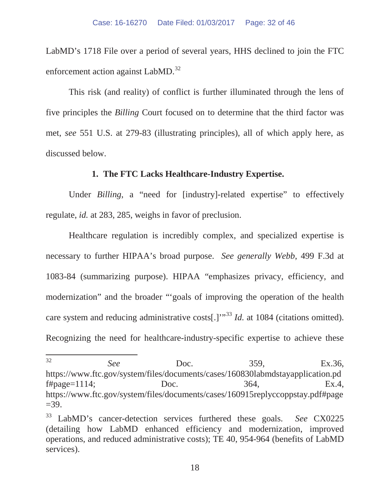LabMD's 1718 File over a period of several years, HHS declined to join the FTC enforcement action against LabMD.<sup>32</sup>

This risk (and reality) of conflict is further illuminated through the lens of five principles the *Billing* Court focused on to determine that the third factor was met, *see* 551 U.S. at 279-83 (illustrating principles), all of which apply here, as discussed below.

#### **1. The FTC Lacks Healthcare-Industry Expertise.**

Under *Billing*, a "need for [industry]-related expertise" to effectively regulate, *id.* at 283, 285, weighs in favor of preclusion.

Healthcare regulation is incredibly complex, and specialized expertise is necessary to further HIPAA's broad purpose. *See generally Webb*, 499 F.3d at 1083-84 (summarizing purpose). HIPAA "emphasizes privacy, efficiency, and modernization" and the broader "'goals of improving the operation of the health care system and reducing administrative costs[.]'<sup>33</sup> *Id.* at 1084 (citations omitted). Recognizing the need for healthcare-industry-specific expertise to achieve these

 $32$ <sup>32</sup> *See* Doc. 359, Ex.36, https://www.ftc.gov/system/files/documents/cases/160830labmdstayapplication.pd  $f#page=1114$ ;  $Doc.$   $364,$   $Ex.4,$ https://www.ftc.gov/system/files/documents/cases/160915replyccoppstay.pdf#page  $=39.$ 

<sup>33</sup> LabMD's cancer-detection services furthered these goals. *See* CX0225 (detailing how LabMD enhanced efficiency and modernization, improved operations, and reduced administrative costs); TE 40, 954-964 (benefits of LabMD services).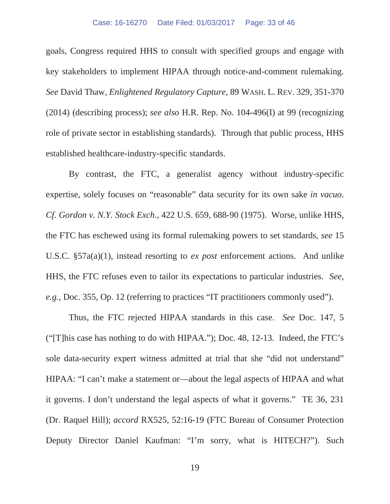goals, Congress required HHS to consult with specified groups and engage with key stakeholders to implement HIPAA through notice-and-comment rulemaking. *See* David Thaw, *Enlightened Regulatory Capture*, 89 WASH. L. REV. 329, 351-370 (2014) (describing process); *see also* H.R. Rep. No. 104-496(I) at 99 (recognizing role of private sector in establishing standards). Through that public process, HHS established healthcare-industry-specific standards.

By contrast, the FTC, a generalist agency without industry-specific expertise, solely focuses on "reasonable" data security for its own sake *in vacuo*. *Cf. Gordon v. N.Y. Stock Exch.*, 422 U.S. 659, 688-90 (1975). Worse, unlike HHS, the FTC has eschewed using its formal rulemaking powers to set standards, *see* 15 U.S.C. §57a(a)(1), instead resorting to *ex post* enforcement actions. And unlike HHS, the FTC refuses even to tailor its expectations to particular industries. *See, e.g.,* Doc. 355, Op. 12 (referring to practices "IT practitioners commonly used").

Thus, the FTC rejected HIPAA standards in this case. *See* Doc. 147, 5 ("[T]his case has nothing to do with HIPAA."); Doc. 48, 12-13. Indeed, the FTC's sole data-security expert witness admitted at trial that she "did not understand" HIPAA: "I can't make a statement or—about the legal aspects of HIPAA and what it governs. I don't understand the legal aspects of what it governs." TE 36, 231 (Dr. Raquel Hill); *accord* RX525, 52:16-19 (FTC Bureau of Consumer Protection Deputy Director Daniel Kaufman: "I'm sorry, what is HITECH?"). Such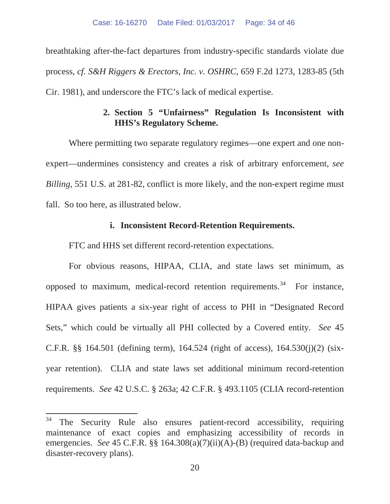breathtaking after-the-fact departures from industry-specific standards violate due process, *cf. S&H Riggers & Erectors, Inc. v. OSHRC*, 659 F.2d 1273, 1283-85 (5th Cir. 1981), and underscore the FTC's lack of medical expertise.

## **2. Section 5 "Unfairness" Regulation Is Inconsistent with HHS's Regulatory Scheme.**

Where permitting two separate regulatory regimes—one expert and one nonexpert—undermines consistency and creates a risk of arbitrary enforcement, *see Billing*, 551 U.S. at 281-82, conflict is more likely, and the non-expert regime must fall. So too here, as illustrated below.

#### **i. Inconsistent Record-Retention Requirements.**

FTC and HHS set different record-retention expectations.

For obvious reasons, HIPAA, CLIA, and state laws set minimum, as opposed to maximum, medical-record retention requirements.<sup>34</sup> For instance, HIPAA gives patients a six-year right of access to PHI in "Designated Record Sets," which could be virtually all PHI collected by a Covered entity. *See* 45 C.F.R. §§ 164.501 (defining term), 164.524 (right of access), 164.530(j)(2) (sixyear retention). CLIA and state laws set additional minimum record-retention requirements. *See* 42 U.S.C. § 263a; 42 C.F.R. § 493.1105 (CLIA record-retention

<sup>34</sup> The Security Rule also ensures patient-record accessibility, requiring maintenance of exact copies and emphasizing accessibility of records in emergencies. *See* 45 C.F.R. §§ 164.308(a)(7)(ii)(A)-(B) (required data-backup and disaster-recovery plans).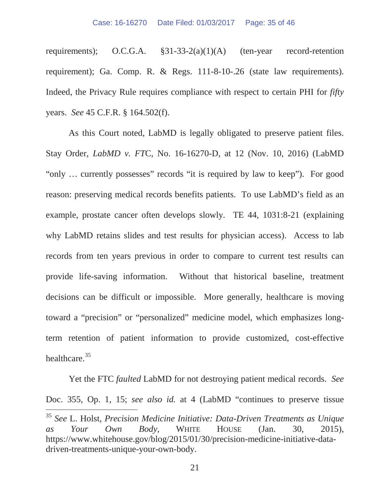requirements); O.C.G.A. §31-33-2(a)(1)(A) (ten-year record-retention requirement); Ga. Comp. R. & Regs. 111-8-10-.26 (state law requirements). Indeed, the Privacy Rule requires compliance with respect to certain PHI for *fifty* years. *See* 45 C.F.R. § 164.502(f).

As this Court noted, LabMD is legally obligated to preserve patient files. Stay Order, *LabMD v. FT*C, No. 16-16270-D, at 12 (Nov. 10, 2016) (LabMD "only … currently possesses" records "it is required by law to keep"). For good reason: preserving medical records benefits patients. To use LabMD's field as an example, prostate cancer often develops slowly. TE 44, 1031:8-21 (explaining why LabMD retains slides and test results for physician access). Access to lab records from ten years previous in order to compare to current test results can provide life-saving information. Without that historical baseline, treatment decisions can be difficult or impossible. More generally, healthcare is moving toward a "precision" or "personalized" medicine model, which emphasizes longterm retention of patient information to provide customized, cost-effective healthcare.<sup>35</sup>

Yet the FTC *faulted* LabMD for not destroying patient medical records. *See*  Doc. 355, Op. 1, 15; *see also id.* at 4 (LabMD "continues to preserve tissue  $\overline{a}$ <sup>35</sup> *See* L. Holst, *Precision Medicine Initiative: Data-Driven Treatments as Unique as Your Own Body,* WHITE HOUSE (Jan. 30, 2015), https://www.whitehouse.gov/blog/2015/01/30/precision-medicine-initiative-datadriven-treatments-unique-your-own-body.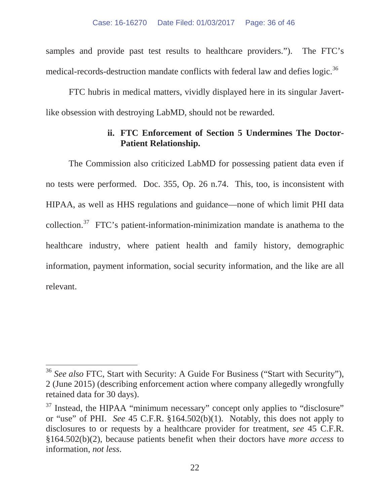samples and provide past test results to healthcare providers."). The FTC's medical-records-destruction mandate conflicts with federal law and defies logic.<sup>36</sup>

FTC hubris in medical matters, vividly displayed here in its singular Javertlike obsession with destroying LabMD, should not be rewarded.

### **ii. FTC Enforcement of Section 5 Undermines The Doctor-Patient Relationship.**

The Commission also criticized LabMD for possessing patient data even if no tests were performed. Doc. 355, Op. 26 n.74. This, too, is inconsistent with HIPAA, as well as HHS regulations and guidance—none of which limit PHI data collection.<sup>37</sup> FTC's patient-information-minimization mandate is anathema to the healthcare industry, where patient health and family history, demographic information, payment information, social security information, and the like are all relevant.

<sup>36</sup> *See also* FTC, Start with Security: A Guide For Business ("Start with Security"), 2 (June 2015) (describing enforcement action where company allegedly wrongfully retained data for 30 days).

<sup>&</sup>lt;sup>37</sup> Instead, the HIPAA "minimum necessary" concept only applies to "disclosure" or "use" of PHI. *See* 45 C.F.R. §164.502(b)(1). Notably, this does not apply to disclosures to or requests by a healthcare provider for treatment, *see* 45 C.F.R. §164.502(b)(2), because patients benefit when their doctors have *more access* to information, *not less*.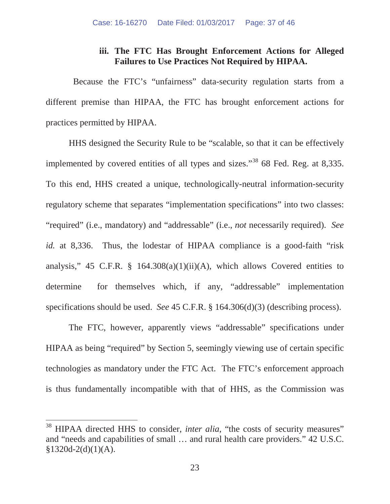### **iii. The FTC Has Brought Enforcement Actions for Alleged Failures to Use Practices Not Required by HIPAA.**

Because the FTC's "unfairness" data-security regulation starts from a different premise than HIPAA, the FTC has brought enforcement actions for practices permitted by HIPAA.

HHS designed the Security Rule to be "scalable, so that it can be effectively implemented by covered entities of all types and sizes."<sup>38</sup> 68 Fed. Reg. at 8,335. To this end, HHS created a unique, technologically-neutral information-security regulatory scheme that separates "implementation specifications" into two classes: "required" (i.e., mandatory) and "addressable" (i.e., *not* necessarily required). *See id.* at 8,336. Thus, the lodestar of HIPAA compliance is a good-faith "risk" analysis," 45 C.F.R. § 164.308(a)(1)(ii)(A), which allows Covered entities to determine for themselves which, if any, "addressable" implementation specifications should be used. *See* 45 C.F.R. § 164.306(d)(3) (describing process).

The FTC, however, apparently views "addressable" specifications under HIPAA as being "required" by Section 5, seemingly viewing use of certain specific technologies as mandatory under the FTC Act. The FTC's enforcement approach is thus fundamentally incompatible with that of HHS, as the Commission was

<sup>&</sup>lt;sup>38</sup> HIPAA directed HHS to consider, *inter alia*, "the costs of security measures" and "needs and capabilities of small … and rural health care providers." 42 U.S.C.  $§1320d-2(d)(1)(A).$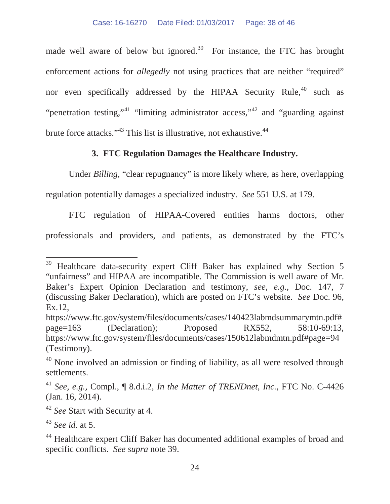made well aware of below but ignored.<sup>39</sup> For instance, the FTC has brought enforcement actions for *allegedly* not using practices that are neither "required" nor even specifically addressed by the HIPAA Security Rule, $40$  such as "penetration testing,"<sup>41</sup> "limiting administrator access,"<sup>42</sup> and "guarding against" brute force attacks."<sup>43</sup> This list is illustrative, not exhaustive.<sup>44</sup>

## **3. FTC Regulation Damages the Healthcare Industry.**

Under *Billing*, "clear repugnancy" is more likely where, as here, overlapping regulation potentially damages a specialized industry. *See* 551 U.S. at 179.

FTC regulation of HIPAA-Covered entities harms doctors, other professionals and providers, and patients, as demonstrated by the FTC's

<sup>&</sup>lt;sup>39</sup> Healthcare data-security expert Cliff Baker has explained why Section 5 "unfairness" and HIPAA are incompatible. The Commission is well aware of Mr. Baker's Expert Opinion Declaration and testimony, *see, e.g.*, Doc. 147, 7 (discussing Baker Declaration), which are posted on FTC's website. *See* Doc. 96, Ex.12,

https://www.ftc.gov/system/files/documents/cases/140423labmdsummarymtn.pdf# page=163 (Declaration); Proposed RX552, 58:10-69:13, https://www.ftc.gov/system/files/documents/cases/150612labmdmtn.pdf#page=94 (Testimony).

 $40$  None involved an admission or finding of liability, as all were resolved through settlements.

<sup>41</sup> *See, e.g.,* Compl., ¶ 8.d.i.2, *In the Matter of TRENDnet*, *Inc.*, FTC No. C-4426 (Jan. 16, 2014).

<sup>42</sup> *See* Start with Security at 4.

<sup>43</sup> *See id.* at 5.

<sup>&</sup>lt;sup>44</sup> Healthcare expert Cliff Baker has documented additional examples of broad and specific conflicts. *See supra* note 39.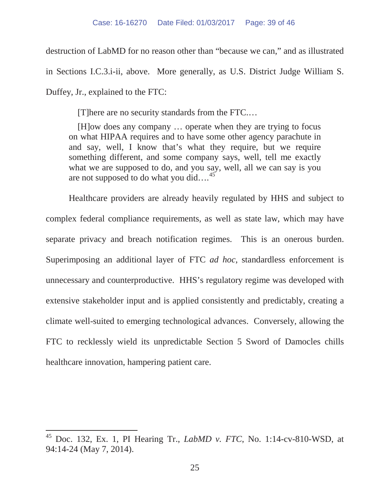destruction of LabMD for no reason other than "because we can," and as illustrated

in Sections I.C.3.i-ii, above. More generally, as U.S. District Judge William S.

Duffey, Jr., explained to the FTC:

 $\overline{a}$ 

[T]here are no security standards from the FTC.…

[H]ow does any company … operate when they are trying to focus on what HIPAA requires and to have some other agency parachute in and say, well, I know that's what they require, but we require something different, and some company says, well, tell me exactly what we are supposed to do, and you say, well, all we can say is you are not supposed to do what you did....<sup>45</sup>

Healthcare providers are already heavily regulated by HHS and subject to complex federal compliance requirements, as well as state law, which may have separate privacy and breach notification regimes. This is an onerous burden. Superimposing an additional layer of FTC *ad hoc*, standardless enforcement is unnecessary and counterproductive. HHS's regulatory regime was developed with extensive stakeholder input and is applied consistently and predictably, creating a climate well-suited to emerging technological advances. Conversely, allowing the FTC to recklessly wield its unpredictable Section 5 Sword of Damocles chills healthcare innovation, hampering patient care.

<sup>45</sup> Doc. 132, Ex. 1, PI Hearing Tr., *LabMD v. FTC*, No. 1:14-cv-810-WSD, at 94:14-24 (May 7, 2014).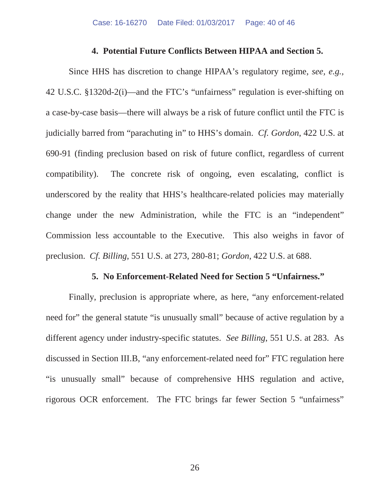#### **4. Potential Future Conflicts Between HIPAA and Section 5.**

Since HHS has discretion to change HIPAA's regulatory regime, *see, e.g.,*  42 U.S.C. §1320d-2(i)—and the FTC's "unfairness" regulation is ever-shifting on a case-by-case basis—there will always be a risk of future conflict until the FTC is judicially barred from "parachuting in" to HHS's domain. *Cf. Gordon*, 422 U.S. at 690-91 (finding preclusion based on risk of future conflict, regardless of current compatibility). The concrete risk of ongoing, even escalating, conflict is underscored by the reality that HHS's healthcare-related policies may materially change under the new Administration, while the FTC is an "independent" Commission less accountable to the Executive. This also weighs in favor of preclusion. *Cf. Billing*, 551 U.S. at 273, 280-81; *Gordon*, 422 U.S. at 688.

#### **5. No Enforcement-Related Need for Section 5 "Unfairness."**

Finally, preclusion is appropriate where, as here, "any enforcement-related need for" the general statute "is unusually small" because of active regulation by a different agency under industry-specific statutes. *See Billing*, 551 U.S. at 283. As discussed in Section III.B, "any enforcement-related need for" FTC regulation here "is unusually small" because of comprehensive HHS regulation and active, rigorous OCR enforcement. The FTC brings far fewer Section 5 "unfairness"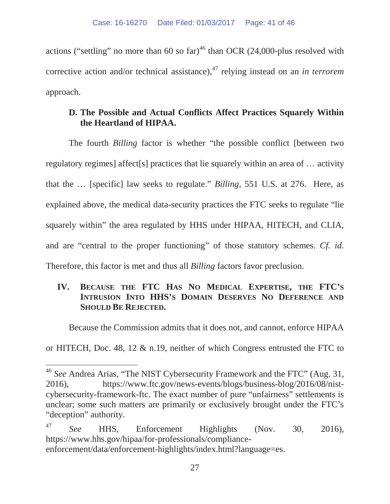actions ("settling" no more than 60 so  $far$ )<sup>46</sup> than OCR (24,000-plus resolved with corrective action and/or technical assistance),<sup>47</sup> relying instead on an *in terrorem* approach.

## **D. The Possible and Actual Conflicts Affect Practices Squarely Within the Heartland of HIPAA.**

The fourth *Billing* factor is whether "the possible conflict [between two regulatory regimes] affect[s] practices that lie squarely within an area of … activity that the … [specific] law seeks to regulate." *Billing*, 551 U.S. at 276. Here, as explained above, the medical data-security practices the FTC seeks to regulate "lie squarely within" the area regulated by HHS under HIPAA, HITECH, and CLIA, and are "central to the proper functioning" of those statutory schemes. *Cf. id.* Therefore, this factor is met and thus all *Billing* factors favor preclusion.

# **IV. BECAUSE THE FTC HAS NO MEDICAL EXPERTISE, THE FTC'S INTRUSION INTO HHS'S DOMAIN DESERVES NO DEFERENCE AND SHOULD BE REJECTED.**

Because the Commission admits that it does not, and cannot, enforce HIPAA

or HITECH, Doc. 48, 12 & n.19, neither of which Congress entrusted the FTC to

<sup>46</sup> *See* Andrea Arias, "The NIST Cybersecurity Framework and the FTC" (Aug. 31, 2016), https://www.ftc.gov/news-events/blogs/business-blog/2016/08/nistcybersecurity-framework-ftc. The exact number of pure "unfairness" settlements is unclear; some such matters are primarily or exclusively brought under the FTC's "deception" authority.

<sup>47</sup> *See* HHS, Enforcement Highlights (Nov. 30, 2016), https://www.hhs.gov/hipaa/for-professionals/complianceenforcement/data/enforcement-highlights/index.html?language=es.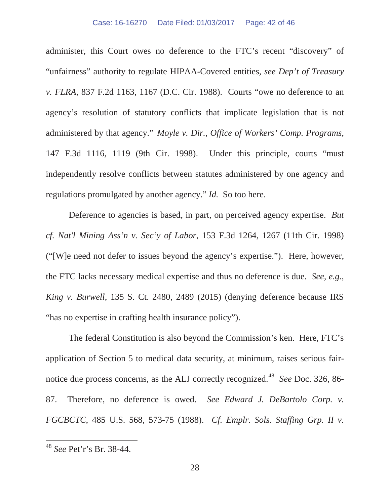administer, this Court owes no deference to the FTC's recent "discovery" of "unfairness" authority to regulate HIPAA-Covered entities, *see Dep't of Treasury v. FLRA*, 837 F.2d 1163, 1167 (D.C. Cir. 1988). Courts "owe no deference to an agency's resolution of statutory conflicts that implicate legislation that is not administered by that agency." *Moyle v. Dir., Office of Workers' Comp. Programs*, 147 F.3d 1116, 1119 (9th Cir. 1998). Under this principle, courts "must independently resolve conflicts between statutes administered by one agency and regulations promulgated by another agency." *Id.* So too here.

Deference to agencies is based, in part, on perceived agency expertise. *But cf. Nat'l Mining Ass'n v. Sec'y of Labor*, 153 F.3d 1264, 1267 (11th Cir. 1998) ("[W]e need not defer to issues beyond the agency's expertise."). Here, however, the FTC lacks necessary medical expertise and thus no deference is due. *See, e.g., King v. Burwell*, 135 S. Ct. 2480, 2489 (2015) (denying deference because IRS "has no expertise in crafting health insurance policy").

The federal Constitution is also beyond the Commission's ken. Here, FTC's application of Section 5 to medical data security, at minimum, raises serious fairnotice due process concerns, as the ALJ correctly recognized.<sup>48</sup> *See* Doc. 326, 86-87. Therefore, no deference is owed. *See Edward J. DeBartolo Corp. v. FGCBCTC*, 485 U.S. 568, 573-75 (1988). *Cf. Emplr. Sols. Staffing Grp. II v.* 

<sup>48</sup> *See* Pet'r's Br. 38-44.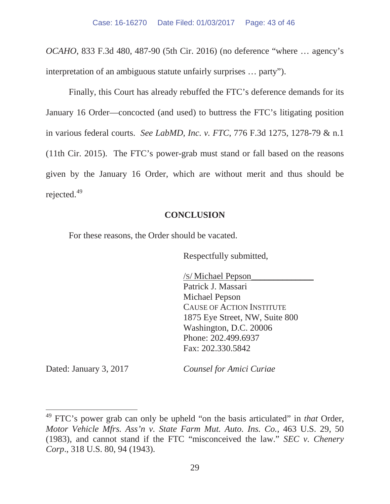*OCAHO*, 833 F.3d 480, 487-90 (5th Cir. 2016) (no deference "where … agency's interpretation of an ambiguous statute unfairly surprises … party").

Finally, this Court has already rebuffed the FTC's deference demands for its January 16 Order—concocted (and used) to buttress the FTC's litigating position in various federal courts. *See LabMD, Inc. v. FTC*, 776 F.3d 1275, 1278-79 & n.1 (11th Cir. 2015). The FTC's power-grab must stand or fall based on the reasons given by the January 16 Order, which are without merit and thus should be rejected.<sup>49</sup>

#### **CONCLUSION**

For these reasons, the Order should be vacated.

Respectfully submitted,

/S/ Michael Pepson\_\_\_\_\_\_\_\_\_\_\_\_\_\_ Patrick J. Massari Michael Pepson CAUSE OF ACTION INSTITUTE 1875 Eye Street, NW, Suite 800 Washington, D.C. 20006 Phone: 202.499.6937 Fax: 202.330.5842

 $\overline{a}$ 

Dated: January 3, 2017 *Counsel for Amici Curiae*

<sup>49</sup> FTC's power grab can only be upheld "on the basis articulated" in *that* Order, *Motor Vehicle Mfrs. Ass'n v. State Farm Mut. Auto. Ins. Co.*, 463 U.S. 29, 50 (1983), and cannot stand if the FTC "misconceived the law." *SEC v. Chenery Corp*., 318 U.S. 80, 94 (1943).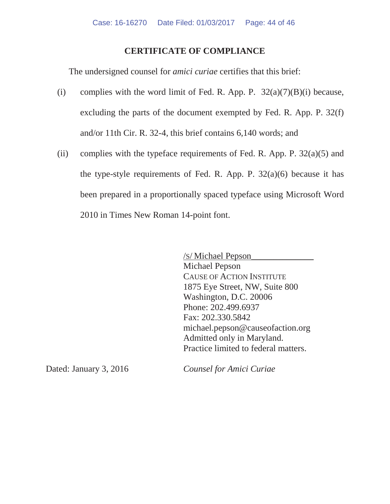#### **CERTIFICATE OF COMPLIANCE**

The undersigned counsel for *amici curiae* certifies that this brief:

- (i) complies with the word limit of Fed. R. App. P.  $32(a)(7)(B)(i)$  because, excluding the parts of the document exempted by Fed. R. App. P. 32(f) and/or 11th Cir. R. 32-4, this brief contains 6,140 words; and
- (ii) complies with the typeface requirements of Fed. R. App. P.  $32(a)(5)$  and the type-style requirements of Fed. R. App. P.  $32(a)(6)$  because it has been prepared in a proportionally spaced typeface using Microsoft Word 2010 in Times New Roman 14-point font.

/S/ Michael Pepson\_\_\_\_\_\_\_\_\_\_\_\_\_\_ Michael Pepson CAUSE OF ACTION INSTITUTE 1875 Eye Street, NW, Suite 800 Washington, D.C. 20006 Phone: 202.499.6937 Fax: 202.330.5842 michael.pepson@causeofaction.org Admitted only in Maryland. Practice limited to federal matters.

Dated: January 3, 2016 *Counsel for Amici Curiae*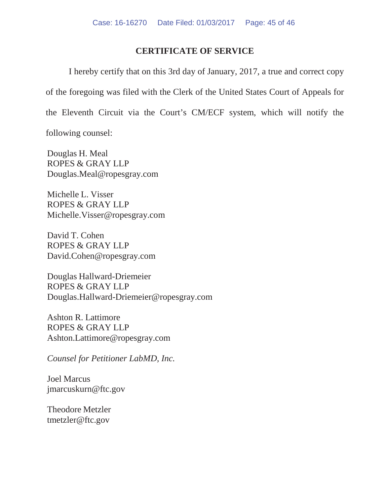### **CERTIFICATE OF SERVICE**

I hereby certify that on this 3rd day of January, 2017, a true and correct copy of the foregoing was filed with the Clerk of the United States Court of Appeals for the Eleventh Circuit via the Court's CM/ECF system, which will notify the

following counsel:

Douglas H. Meal ROPES & GRAY LLP Douglas.Meal@ropesgray.com

Michelle L. Visser ROPES & GRAY LLP Michelle.Visser@ropesgray.com

David T. Cohen ROPES & GRAY LLP David.Cohen@ropesgray.com

Douglas Hallward-Driemeier ROPES & GRAY LLP Douglas.Hallward-Driemeier@ropesgray.com

Ashton R. Lattimore ROPES & GRAY LLP Ashton.Lattimore@ropesgray.com

*Counsel for Petitioner LabMD, Inc.*

Joel Marcus jmarcuskurn@ftc.gov

Theodore Metzler tmetzler@ftc.gov